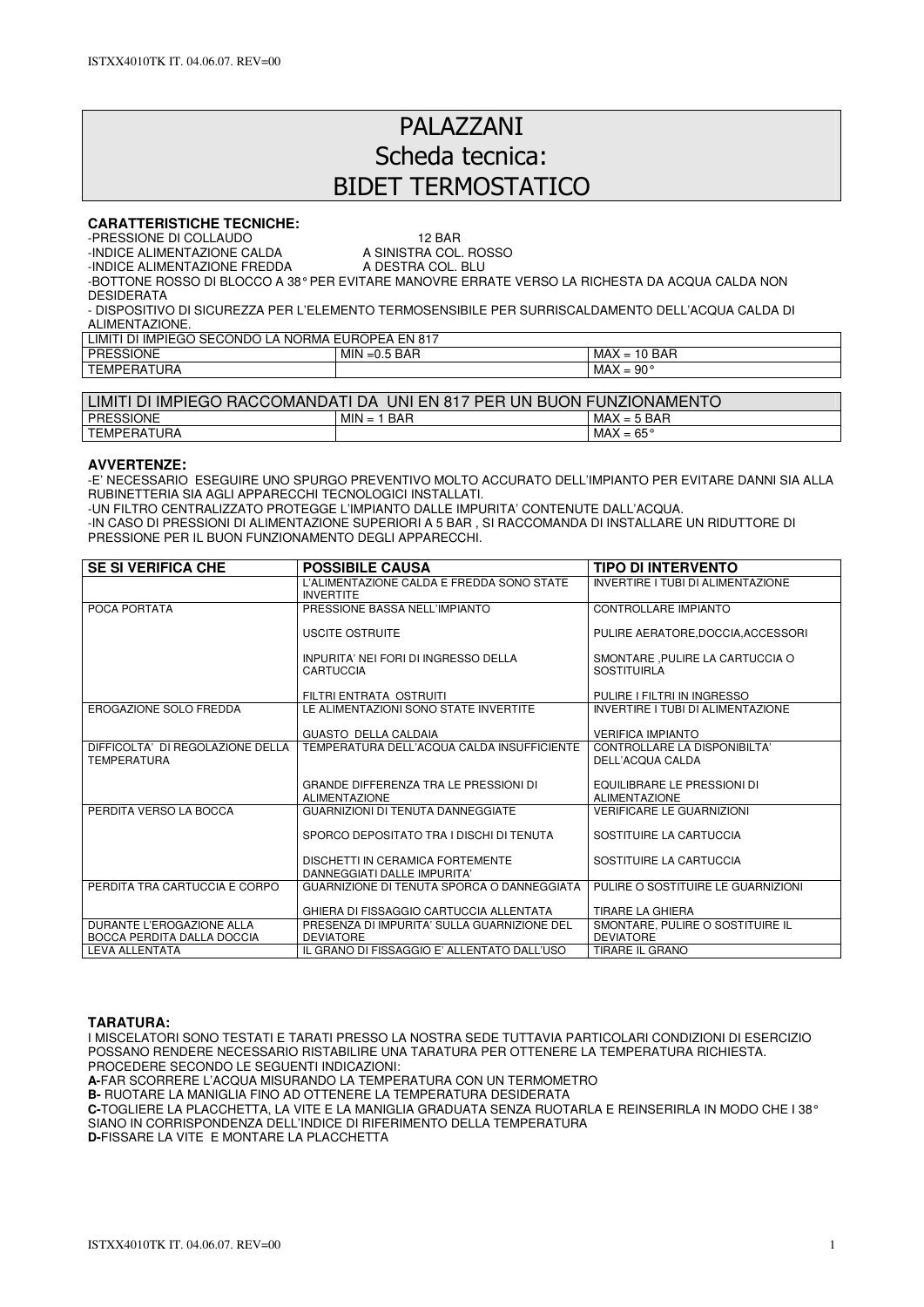# PALAZZANI Scheda tecnica: BIDET TERMOSTATICO

## **CARATTERISTICHE TECNICHE:**

-PRESSIONE DI COLLAUDO<br>-INDICE ALIMENTAZIONE CALDA A SINISTRA COL. ROSSO

-INDICE ALIMENTAZIONE CALDA A SINISTRA COL. ROSSOLIA A SINISTRA COL. ROSSOLIA A DESTRA COL. BLU

-INDICE ALIMENTAZIONE FREDDA

-BOTTONE ROSSO DI BLOCCO A 38° PER EVITARE MANOVRE ERRATE VERSO LA RICHESTA DA ACQUA CALDA NON DESIDERATA

- DISPOSITIVO DI SICUREZZA PER L'ELEMENTO TERMOSENSIBILE PER SURRISCALDAMENTO DELL'ACQUA CALDA DI ALIMENTAZIONE.

| <b>LIMIT</b><br><b>IMPIEGO</b><br>SECONDO<br>NORMA ،<br>EUROPEA EN 817<br>-DI<br>A |                             |                                               |  |  |
|------------------------------------------------------------------------------------|-----------------------------|-----------------------------------------------|--|--|
| <b>PRESSIONE</b>                                                                   | i BAR<br><b>MIN</b><br>⊨ບ.ວ | <b>BAR</b><br>$MAX =$<br>$\overline{A}$<br>1υ |  |  |
| <b>TEMPERATURA</b>                                                                 |                             | $90^{\circ}$<br>MAX<br>$=$                    |  |  |

| <b>DI IMPIEGO</b><br>JNI EN 817<br>JN<br><b>FUNZIONAMENTO</b><br>$\sf \bot IMIT'$<br>RACCOMANDATI DA<br><b>PER</b><br><b>BUON</b> |                            |                            |  |  |
|-----------------------------------------------------------------------------------------------------------------------------------|----------------------------|----------------------------|--|--|
| <b>PRESSIONE</b>                                                                                                                  | <b>MIN</b><br>∣ BAR<br>$=$ | $MAX = 5$ BAR              |  |  |
| TEMPERATURA                                                                                                                       |                            | MAX<br>$65^{\circ}$<br>$=$ |  |  |

#### **AVVERTENZE:**

-E' NECESSARIO ESEGUIRE UNO SPURGO PREVENTIVO MOLTO ACCURATO DELL'IMPIANTO PER EVITARE DANNI SIA ALLA RUBINETTERIA SIA AGLI APPARECCHI TECNOLOGICI INSTALLATI.

-UN FILTRO CENTRALIZZATO PROTEGGE L'IMPIANTO DALLE IMPURITA' CONTENUTE DALL'ACQUA.

-IN CASO DI PRESSIONI DI ALIMENTAZIONE SUPERIORI A 5 BAR , SI RACCOMANDA DI INSTALLARE UN RIDUTTORE DI PRESSIONE PER IL BUON FUNZIONAMENTO DEGLI APPARECCHI.

| <b>SE SI VERIFICA CHE</b>                               | <b>POSSIBILE CAUSA</b>                                               | <b>TIPO DI INTERVENTO</b>                             |
|---------------------------------------------------------|----------------------------------------------------------------------|-------------------------------------------------------|
|                                                         | L'ALIMENTAZIONE CALDA E FREDDA SONO STATE<br><b>INVERTITE</b>        | INVERTIRE I TUBI DI ALIMENTAZIONE                     |
| POCA PORTATA                                            | PRESSIONE BASSA NELL'IMPIANTO                                        | <b>CONTROLLARE IMPIANTO</b>                           |
|                                                         | USCITE OSTRUITE                                                      | PULIRE AERATORE.DOCCIA.ACCESSORI                      |
|                                                         | INPURITA' NEI FORI DI INGRESSO DELLA<br>CARTUCCIA                    | SMONTARE, PULIRE LA CARTUCCIA O<br><b>SOSTITUIRLA</b> |
|                                                         | FILTRI ENTRATA OSTRUITI                                              | PULIRE I FILTRI IN INGRESSO                           |
| <b>EROGAZIONE SOLO FREDDA</b>                           | LE ALIMENTAZIONI SONO STATE INVERTITE                                | INVERTIRE I TUBI DI ALIMENTAZIONE                     |
|                                                         | <b>GUASTO DELLA CALDAIA</b>                                          | <b>VERIFICA IMPIANTO</b>                              |
| DIFFICOLTA' DI REGOLAZIONE DELLA<br><b>TEMPERATURA</b>  | TEMPERATURA DELL'ACQUA CALDA INSUFFICIENTE                           | CONTROLLARE LA DISPONIBILTA'<br>DELL'ACQUA CALDA      |
|                                                         | <b>GRANDE DIFFERENZA TRA LE PRESSIONI DI</b><br><b>ALIMENTAZIONE</b> | EQUILIBRARE LE PRESSIONI DI<br><b>ALIMENTAZIONE</b>   |
| PERDITA VERSO LA BOCCA                                  | GUARNIZIONI DI TENUTA DANNEGGIATE                                    | <b>VERIFICARE LE GUARNIZIONI</b>                      |
|                                                         | SPORCO DEPOSITATO TRA I DISCHI DI TENUTA                             | SOSTITUIRE LA CARTUCCIA                               |
|                                                         | DISCHETTI IN CERAMICA FORTEMENTE<br>DANNEGGIATI DALLE IMPURITA'      | SOSTITUIRE LA CARTUCCIA                               |
| PERDITA TRA CARTUCCIA E CORPO                           | GUARNIZIONE DI TENUTA SPORCA O DANNEGGIATA                           | PULIRE O SOSTITUIRE LE GUARNIZIONI                    |
|                                                         | GHIERA DI FISSAGGIO CARTUCCIA ALLENTATA                              | TIRARE LA GHIERA                                      |
| DURANTE L'EROGAZIONE ALLA<br>BOCCA PERDITA DALLA DOCCIA | PRESENZA DI IMPURITA' SULLA GUARNIZIONE DEL<br><b>DEVIATORE</b>      | SMONTARE, PULIRE O SOSTITUIRE IL<br><b>DEVIATORE</b>  |
| <b>LEVA ALLENTATA</b>                                   | IL GRANO DI FISSAGGIO E' ALLENTATO DALL'USO                          | <b>TIRARE IL GRANO</b>                                |

## **TARATURA:**

I MISCELATORI SONO TESTATI E TARATI PRESSO LA NOSTRA SEDE TUTTAVIA PARTICOLARI CONDIZIONI DI ESERCIZIO POSSANO RENDERE NECESSARIO RISTABILIRE UNA TARATURA PER OTTENERE LA TEMPERATURA RICHIESTA. PROCEDERE SECONDO LE SEGUENTI INDICAZIONI: **A-**FAR SCORRERE L'ACQUA MISURANDO LA TEMPERATURA CON UN TERMOMETRO

**B-** RUOTARE LA MANIGLIA FINO AD OTTENERE LA TEMPERATURA DESIDERATA

**C-**TOGLIERE LA PLACCHETTA, LA VITE E LA MANIGLIA GRADUATA SENZA RUOTARLA E REINSERIRLA IN MODO CHE I 38° SIANO IN CORRISPONDENZA DELL'INDICE DI RIFERIMENTO DELLA TEMPERATURA **D-**FISSARE LA VITE E MONTARE LA PLACCHETTA